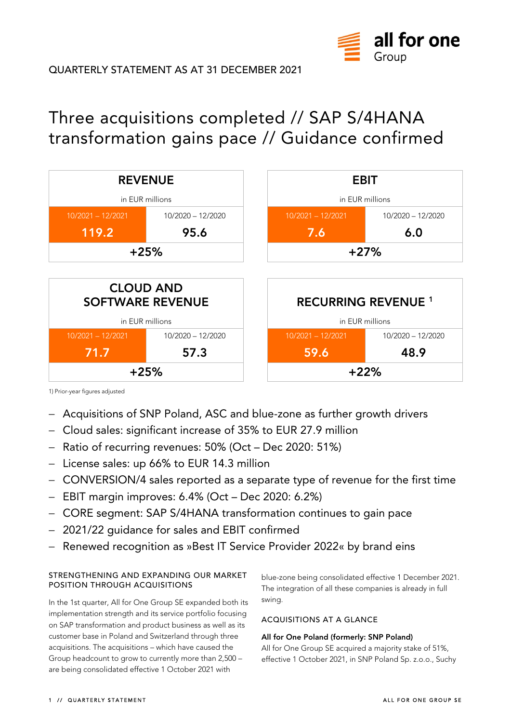

# Three acquisitions completed // SAP S/4HANA transformation gains pace // Guidance confirmed



1) Prior-year figures adjusted

- − Acquisitions of SNP Poland, ASC and blue-zone as further growth drivers
- − Cloud sales: significant increase of 35% to EUR 27.9 million
- − Ratio of recurring revenues: 50% (Oct Dec 2020: 51%)
- − License sales: up 66% to EUR 14.3 million
- − CONVERSION/4 sales reported as a separate type of revenue for the first time
- − EBIT margin improves: 6.4% (Oct Dec 2020: 6.2%)
- − CORE segment: SAP S/4HANA transformation continues to gain pace
- − 2021/22 guidance for sales and EBIT confirmed
- − Renewed recognition as »Best IT Service Provider 2022« by brand eins

## **STRENGTHENING AND EXPANDING OUR MARKET POSITION THROUGH ACQUISITIONS**

In the 1st quarter, All for One Group SE expanded both its implementation strength and its service portfolio focusing on SAP transformation and product business as well as its customer base in Poland and Switzerland through three acquisitions. The acquisitions – which have caused the Group headcount to grow to currently more than 2,500 – are being consolidated effective 1 October 2021 with

blue-zone being consolidated effective 1 December 2021. The integration of all these companies is already in full swing.

## **ACQUISITIONS AT A GLANCE**

## **All for One Poland (formerly: SNP Poland)**

All for One Group SE acquired a majority stake of 51%, effective 1 October 2021, in SNP Poland Sp. z.o.o., Suchy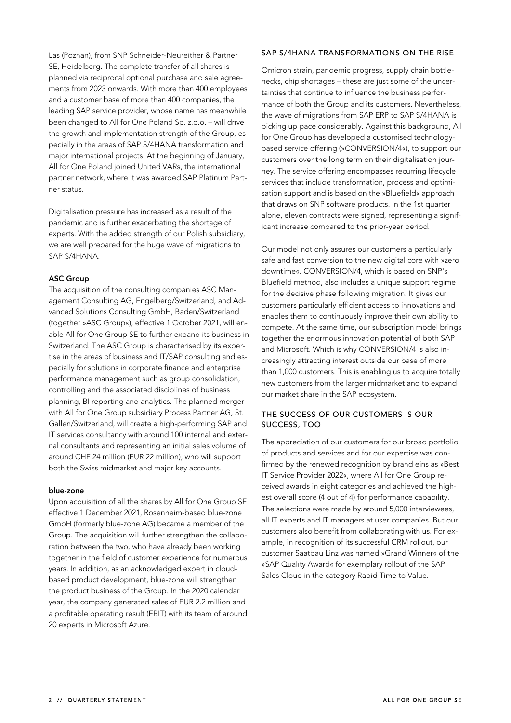Las (Poznan), from SNP Schneider-Neureither & Partner SE, Heidelberg. The complete transfer of all shares is planned via reciprocal optional purchase and sale agreements from 2023 onwards. With more than 400 employees and a customer base of more than 400 companies, the leading SAP service provider, whose name has meanwhile been changed to All for One Poland Sp. z.o.o. – will drive the growth and implementation strength of the Group, especially in the areas of SAP S/4HANA transformation and major international projects. At the beginning of January, All for One Poland joined United VARs, the international partner network, where it was awarded SAP Platinum Partner status.

Digitalisation pressure has increased as a result of the pandemic and is further exacerbating the shortage of experts. With the added strength of our Polish subsidiary, we are well prepared for the huge wave of migrations to SAP S/4HANA.

# **ASC Group**

The acquisition of the consulting companies ASC Management Consulting AG, Engelberg/Switzerland, and Advanced Solutions Consulting GmbH, Baden/Switzerland (together »ASC Group«), effective 1 October 2021, will enable All for One Group SE to further expand its business in Switzerland. The ASC Group is characterised by its expertise in the areas of business and IT/SAP consulting and especially for solutions in corporate finance and enterprise performance management such as group consolidation, controlling and the associated disciplines of business planning, BI reporting and analytics. The planned merger with All for One Group subsidiary Process Partner AG, St. Gallen/Switzerland, will create a high-performing SAP and IT services consultancy with around 100 internal and external consultants and representing an initial sales volume of around CHF 24 million (EUR 22 million), who will support both the Swiss midmarket and major key accounts.

#### **blue-zone**

Upon acquisition of all the shares by All for One Group SE effective 1 December 2021, Rosenheim-based blue-zone GmbH (formerly blue-zone AG) became a member of the Group. The acquisition will further strengthen the collaboration between the two, who have already been working together in the field of customer experience for numerous years. In addition, as an acknowledged expert in cloudbased product development, blue-zone will strengthen the product business of the Group. In the 2020 calendar year, the company generated sales of EUR 2.2 million and a profitable operating result (EBIT) with its team of around 20 experts in Microsoft Azure.

### **SAP S/4HANA TRANSFORMATIONS ON THE RISE**

Omicron strain, pandemic progress, supply chain bottlenecks, chip shortages – these are just some of the uncertainties that continue to influence the business performance of both the Group and its customers. Nevertheless, the wave of migrations from SAP ERP to SAP S/4HANA is picking up pace considerably. Against this background, All for One Group has developed a customised technologybased service offering (»CONVERSION/4«), to support our customers over the long term on their digitalisation journey. The service offering encompasses recurring lifecycle services that include transformation, process and optimisation support and is based on the »Bluefield« approach that draws on SNP software products. In the 1st quarter alone, eleven contracts were signed, representing a significant increase compared to the prior-year period.

Our model not only assures our customers a particularly safe and fast conversion to the new digital core with »zero downtime«. CONVERSION/4, which is based on SNP's Bluefield method, also includes a unique support regime for the decisive phase following migration. It gives our customers particularly efficient access to innovations and enables them to continuously improve their own ability to compete. At the same time, our subscription model brings together the enormous innovation potential of both SAP and Microsoft. Which is why CONVERSION/4 is also increasingly attracting interest outside our base of more than 1,000 customers. This is enabling us to acquire totally new customers from the larger midmarket and to expand our market share in the SAP ecosystem.

## **THE SUCCESS OF OUR CUSTOMERS IS OUR SUCCESS, TOO**

The appreciation of our customers for our broad portfolio of products and services and for our expertise was confirmed by the renewed recognition by brand eins as »Best IT Service Provider 2022«, where All for One Group received awards in eight categories and achieved the highest overall score (4 out of 4) for performance capability. The selections were made by around 5,000 interviewees, all IT experts and IT managers at user companies. But our customers also benefit from collaborating with us. For example, in recognition of its successful CRM rollout, our customer Saatbau Linz was named »Grand Winner« of the »SAP Quality Award« for exemplary rollout of the SAP Sales Cloud in the category Rapid Time to Value.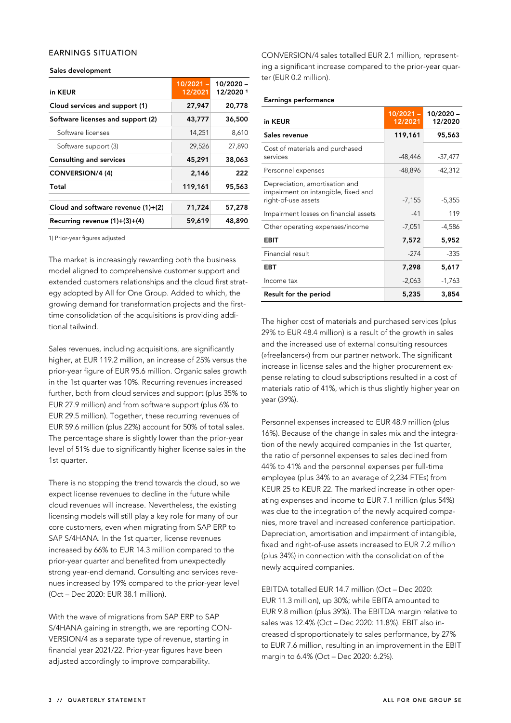### **EARNINGS SITUATION**

#### **Sales development**

| in KEUR                              | $10/2021 -$<br>12/2021 | 10/2020 -<br>12/20201 |
|--------------------------------------|------------------------|-----------------------|
| Cloud services and support (1)       | 27,947                 | 20,778                |
| Software licenses and support (2)    | 43,777                 | 36,500                |
| Software licenses                    | 14,251                 | 8,610                 |
| Software support (3)                 | 29,526                 | 27,890                |
| <b>Consulting and services</b>       | 45,291                 | 38,063                |
| CONVERSION/4 (4)                     | 2,146                  | 222                   |
| Total                                | 119,161                | 95,563                |
| Cloud and software revenue $(1)+(2)$ | 71,724                 | 57,278                |
| Recurring revenue $(1)+(3)+(4)$      | 59,619                 | 48,890                |

1) Prior-year figures adjusted

The market is increasingly rewarding both the business model aligned to comprehensive customer support and extended customers relationships and the cloud first strategy adopted by All for One Group. Added to which, the growing demand for transformation projects and the firsttime consolidation of the acquisitions is providing additional tailwind.

Sales revenues, including acquisitions, are significantly higher, at EUR 119.2 million, an increase of 25% versus the prior-year figure of EUR 95.6 million. Organic sales growth in the 1st quarter was 10%. Recurring revenues increased further, both from cloud services and support (plus 35% to EUR 27.9 million) and from software support (plus 6% to EUR 29.5 million). Together, these recurring revenues of EUR 59.6 million (plus 22%) account for 50% of total sales. The percentage share is slightly lower than the prior-year level of 51% due to significantly higher license sales in the 1st quarter.

There is no stopping the trend towards the cloud, so we expect license revenues to decline in the future while cloud revenues will increase. Nevertheless, the existing licensing models will still play a key role for many of our core customers, even when migrating from SAP ERP to SAP S/4HANA. In the 1st quarter, license revenues increased by 66% to EUR 14.3 million compared to the prior-year quarter and benefited from unexpectedly strong year-end demand. Consulting and services revenues increased by 19% compared to the prior-year level (Oct – Dec 2020: EUR 38.1 million).

With the wave of migrations from SAP ERP to SAP S/4HANA gaining in strength, we are reporting CON-VERSION/4 as a separate type of revenue, starting in financial year 2021/22. Prior-year figures have been adjusted accordingly to improve comparability.

CONVERSION/4 sales totalled EUR 2.1 million, representing a significant increase compared to the prior-year quarter (EUR 0.2 million).

#### **Earnings performance**

| in KEUR                                                                                      | $10/2021 -$<br>12/2021 | 10/2020 -<br>12/2020 |
|----------------------------------------------------------------------------------------------|------------------------|----------------------|
| Sales revenue                                                                                | 119,161                | 95,563               |
| Cost of materials and purchased<br>services                                                  | -48,446                | $-37,477$            |
| Personnel expenses                                                                           | -48,896                | $-42,312$            |
| Depreciation, amortisation and<br>impairment on intangible, fixed and<br>right-of-use assets | $-7,155$               | $-5,355$             |
| Impairment losses on financial assets                                                        | $-41$                  | 119                  |
| Other operating expenses/income                                                              | $-7,051$               | $-4,586$             |
| EBIT                                                                                         | 7,572                  | 5,952                |
| Financial result                                                                             | $-274$                 | $-335$               |
| EBT                                                                                          | 7,298                  | 5,617                |
| Income tax                                                                                   | $-2,063$               | $-1,763$             |
| Result for the period                                                                        | 5,235                  | 3,854                |

The higher cost of materials and purchased services (plus 29% to EUR 48.4 million) is a result of the growth in sales and the increased use of external consulting resources (»freelancers«) from our partner network. The significant increase in license sales and the higher procurement expense relating to cloud subscriptions resulted in a cost of materials ratio of 41%, which is thus slightly higher year on year (39%).

Personnel expenses increased to EUR 48.9 million (plus 16%). Because of the change in sales mix and the integration of the newly acquired companies in the 1st quarter, the ratio of personnel expenses to sales declined from 44% to 41% and the personnel expenses per full-time employee (plus 34% to an average of 2,234 FTEs) from KEUR 25 to KEUR 22. The marked increase in other operating expenses and income to EUR 7.1 million (plus 54%) was due to the integration of the newly acquired companies, more travel and increased conference participation. Depreciation, amortisation and impairment of intangible, fixed and right-of-use assets increased to EUR 7.2 million (plus 34%) in connection with the consolidation of the newly acquired companies.

EBITDA totalled EUR 14.7 million (Oct – Dec 2020: EUR 11.3 million), up 30%; while EBITA amounted to EUR 9.8 million (plus 39%). The EBITDA margin relative to sales was 12.4% (Oct – Dec 2020: 11.8%). EBIT also increased disproportionately to sales performance, by 27% to EUR 7.6 million, resulting in an improvement in the EBIT margin to 6.4% (Oct – Dec 2020: 6.2%).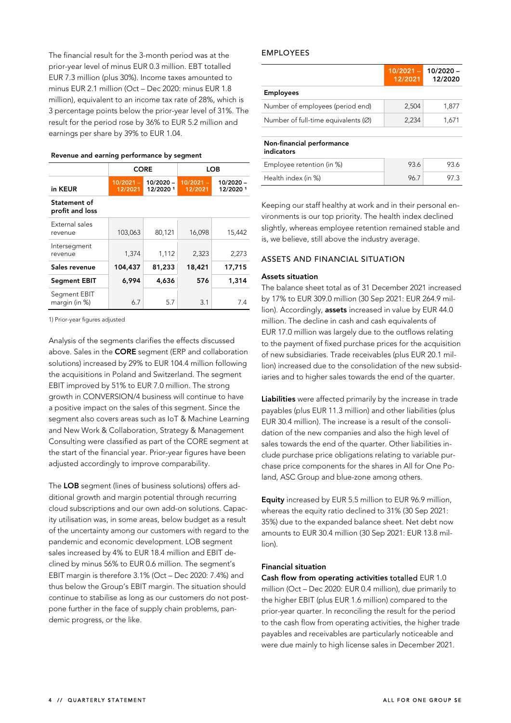The financial result for the 3-month period was at the prior-year level of minus EUR 0.3 million. EBT totalled EUR 7.3 million (plus 30%). Income taxes amounted to minus EUR 2.1 million (Oct – Dec 2020: minus EUR 1.8 million), equivalent to an income tax rate of 28%, which is 3 percentage points below the prior-year level of 31%. The result for the period rose by 36% to EUR 5.2 million and earnings per share by 39% to EUR 1.04.

| Revenue and earning performance by segment |  |  |  |
|--------------------------------------------|--|--|--|
|--------------------------------------------|--|--|--|

|                                 | <b>CORE</b>            |                          | LOB                    |                       |
|---------------------------------|------------------------|--------------------------|------------------------|-----------------------|
| in KEUR                         | $10/2021 -$<br>12/2021 | $10/2020 -$<br>12/2020 1 | $10/2021 -$<br>12/2021 | 10/2020-<br>12/2020 1 |
| Statement of<br>profit and loss |                        |                          |                        |                       |
| External sales<br>revenue       | 103,063                | 80,121                   | 16,098                 | 15,442                |
| Intersegment<br>revenue         | 1,374                  | 1,112                    | 2,323                  | 2,273                 |
| Sales revenue                   | 104,437                | 81,233                   | 18,421                 | 17,715                |
| <b>Segment EBIT</b>             | 6,994                  | 4,636                    | 576                    | 1,314                 |
| Segment EBIT<br>margin (in %)   | 6.7                    | 5.7                      | 3.1                    | 7.4                   |

1) Prior-year figures adjusted

Analysis of the segments clarifies the effects discussed above. Sales in the **CORE** segment (ERP and collaboration solutions) increased by 29% to EUR 104.4 million following the acquisitions in Poland and Switzerland. The segment EBIT improved by 51% to EUR 7.0 million. The strong growth in CONVERSION/4 business will continue to have a positive impact on the sales of this segment. Since the segment also covers areas such as IoT & Machine Learning and New Work & Collaboration, Strategy & Management Consulting were classified as part of the CORE segment at the start of the financial year. Prior-year figures have been adjusted accordingly to improve comparability.

The **LOB** segment (lines of business solutions) offers additional growth and margin potential through recurring cloud subscriptions and our own add-on solutions. Capacity utilisation was, in some areas, below budget as a result of the uncertainty among our customers with regard to the pandemic and economic development. LOB segment sales increased by 4% to EUR 18.4 million and EBIT declined by minus 56% to EUR 0.6 million. The segment's EBIT margin is therefore 3.1% (Oct – Dec 2020: 7.4%) and thus below the Group's EBIT margin. The situation should continue to stabilise as long as our customers do not postpone further in the face of supply chain problems, pandemic progress, or the like.

#### **EMPLOYEES**

|                                                 | $10/2021 -$<br>12/2021 | $10/2020 -$<br>12/2020 |
|-------------------------------------------------|------------------------|------------------------|
| <b>Employees</b>                                |                        |                        |
| Number of employees (period end)                | 2,504                  | 1,877                  |
| Number of full-time equivalents $(\varnothing)$ | 2.234                  | 1,671                  |
| Non-financial performance<br>indicators         |                        |                        |
| Employee retention (in %)                       | 93.6                   | 93.6                   |
| Health index (in %)                             | 96.7                   | 97 3                   |

Keeping our staff healthy at work and in their personal environments is our top priority. The health index declined slightly, whereas employee retention remained stable and is, we believe, still above the industry average.

## **ASSETS AND FINANCIAL SITUATION**

#### **Assets situation**

The balance sheet total as of 31 December 2021 increased by 17% to EUR 309.0 million (30 Sep 2021: EUR 264.9 million). Accordingly, **assets** increased in value by EUR 44.0 million. The decline in cash and cash equivalents of EUR 17.0 million was largely due to the outflows relating to the payment of fixed purchase prices for the acquisition of new subsidiaries. Trade receivables (plus EUR 20.1 million) increased due to the consolidation of the new subsidiaries and to higher sales towards the end of the quarter.

**Liabilities** were affected primarily by the increase in trade payables (plus EUR 11.3 million) and other liabilities (plus EUR 30.4 million). The increase is a result of the consolidation of the new companies and also the high level of sales towards the end of the quarter. Other liabilities include purchase price obligations relating to variable purchase price components for the shares in All for One Poland, ASC Group and blue-zone among others.

**Equity** increased by EUR 5.5 million to EUR 96.9 million, whereas the equity ratio declined to 31% (30 Sep 2021: 35%) due to the expanded balance sheet. Net debt now amounts to EUR 30.4 million (30 Sep 2021: EUR 13.8 million).

#### **Financial situation**

**Cash flow from operating activities** totalled EUR 1.0 million (Oct – Dec 2020: EUR 0.4 million), due primarily to the higher EBIT (plus EUR 1.6 million) compared to the prior-year quarter. In reconciling the result for the period to the cash flow from operating activities, the higher trade payables and receivables are particularly noticeable and were due mainly to high license sales in December 2021.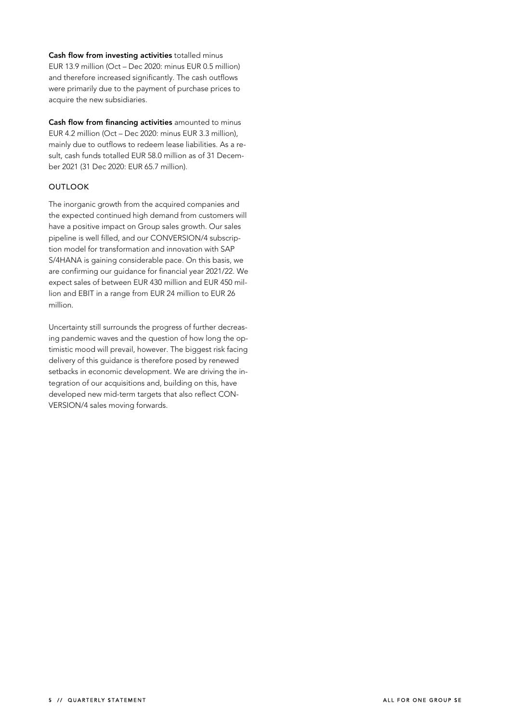**Cash flow from investing activities** totalled minus EUR 13.9 million (Oct – Dec 2020: minus EUR 0.5 million) and therefore increased significantly. The cash outflows were primarily due to the payment of purchase prices to acquire the new subsidiaries.

**Cash flow from financing activities** amounted to minus EUR 4.2 million (Oct – Dec 2020: minus EUR 3.3 million), mainly due to outflows to redeem lease liabilities. As a result, cash funds totalled EUR 58.0 million as of 31 December 2021 (31 Dec 2020: EUR 65.7 million).

# **OUTLOOK**

The inorganic growth from the acquired companies and the expected continued high demand from customers will have a positive impact on Group sales growth. Our sales pipeline is well filled, and our CONVERSION/4 subscription model for transformation and innovation with SAP S/4HANA is gaining considerable pace. On this basis, we are confirming our guidance for financial year 2021/22. We expect sales of between EUR 430 million and EUR 450 million and EBIT in a range from EUR 24 million to EUR 26 million.

Uncertainty still surrounds the progress of further decreasing pandemic waves and the question of how long the optimistic mood will prevail, however. The biggest risk facing delivery of this guidance is therefore posed by renewed setbacks in economic development. We are driving the integration of our acquisitions and, building on this, have developed new mid-term targets that also reflect CON-VERSION/4 sales moving forwards.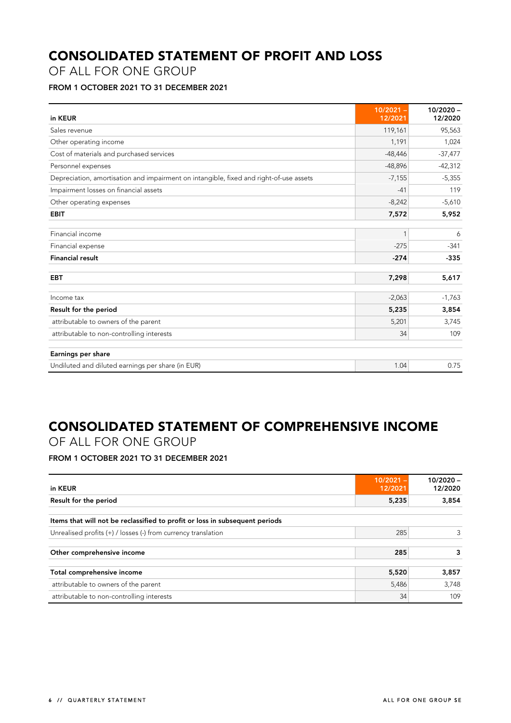# **CONSOLIDATED STATEMENT OF PROFIT AND LOSS**

OF ALL FOR ONE GROUP

# **FROM 1 OCTOBER 2021 TO 31 DECEMBER 2021**

| in KEUR                                                                                | $10/2021 -$<br>12/2021 | $10/2020 -$<br>12/2020 |
|----------------------------------------------------------------------------------------|------------------------|------------------------|
| Sales revenue                                                                          | 119,161                | 95,563                 |
| Other operating income                                                                 | 1,191                  | 1,024                  |
| Cost of materials and purchased services                                               | $-48,446$              | $-37,477$              |
| Personnel expenses                                                                     | $-48,896$              | $-42,312$              |
| Depreciation, amortisation and impairment on intangible, fixed and right-of-use assets | $-7,155$               | $-5,355$               |
| Impairment losses on financial assets                                                  | $-41$                  | 119                    |
| Other operating expenses                                                               | $-8,242$               | $-5,610$               |
| <b>EBIT</b>                                                                            | 7,572                  | 5,952                  |
| Financial income                                                                       | 1                      | 6                      |
| Financial expense                                                                      | $-275$                 | $-341$                 |
| <b>Financial result</b>                                                                | $-274$                 | $-335$                 |
| <b>EBT</b>                                                                             | 7,298                  | 5,617                  |
| Income tax                                                                             | $-2,063$               | $-1,763$               |
| Result for the period                                                                  | 5,235                  | 3,854                  |
| attributable to owners of the parent                                                   | 5,201                  | 3,745                  |
| attributable to non-controlling interests                                              | 34                     | 109                    |
| Earnings per share                                                                     |                        |                        |
| Undiluted and diluted earnings per share (in EUR)                                      | 1.04                   | 0.75                   |

# **CONSOLIDATED STATEMENT OF COMPREHENSIVE INCOME**

OF ALL FOR ONE GROUP

**FROM 1 OCTOBER 2021 TO 31 DECEMBER 2021** 

| in KEUR                                                                     | $10/2021 -$<br>12/2021 | $10/2020 -$<br>12/2020 |
|-----------------------------------------------------------------------------|------------------------|------------------------|
| Result for the period                                                       | 5,235                  | 3,854                  |
| Items that will not be reclassified to profit or loss in subsequent periods |                        |                        |
| Unrealised profits (+) / losses (-) from currency translation               | 285                    | 3                      |
| Other comprehensive income                                                  | 285                    | 3                      |
| Total comprehensive income                                                  | 5,520                  | 3,857                  |
| attributable to owners of the parent                                        | 5,486                  | 3,748                  |
| attributable to non-controlling interests                                   | 34                     | 109                    |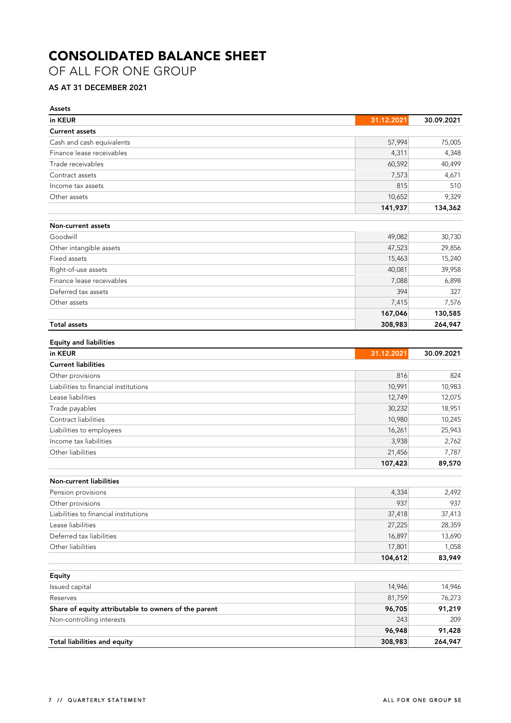# **CONSOLIDATED BALANCE SHEET**

OF ALL FOR ONE GROUP

# **AS AT 31 DECEMBER 2021**

| <b>Assets</b>                                        |            |            |
|------------------------------------------------------|------------|------------|
| in KEUR                                              | 31.12.2021 | 30.09.2021 |
| <b>Current assets</b>                                |            |            |
| Cash and cash equivalents                            | 57,994     | 75,005     |
| Finance lease receivables                            | 4,311      | 4,348      |
| Trade receivables                                    | 60,592     | 40,499     |
| Contract assets                                      | 7,573      | 4,671      |
| Income tax assets                                    | 815        | 510        |
| Other assets                                         | 10,652     | 9,329      |
|                                                      | 141,937    | 134,362    |
| Non-current assets                                   |            |            |
| Goodwill                                             | 49,082     | 30,730     |
| Other intangible assets                              | 47,523     | 29,856     |
| Fixed assets                                         | 15,463     | 15,240     |
| Right-of-use assets                                  | 40,081     | 39,958     |
| Finance lease receivables                            | 7,088      | 6,898      |
| Deferred tax assets                                  | 394        | 327        |
| Other assets                                         | 7,415      | 7,576      |
|                                                      | 167,046    | 130,585    |
| <b>Total assets</b>                                  | 308,983    | 264,947    |
| <b>Equity and liabilities</b>                        |            |            |
| in KEUR                                              | 31.12.2021 | 30.09.2021 |
| <b>Current liabilities</b>                           |            |            |
| Other provisions                                     | 816        | 824        |
| Liabilities to financial institutions                | 10,991     | 10,983     |
| Lease liabilities                                    | 12,749     | 12,075     |
| Trade payables                                       | 30,232     | 18,951     |
| Contract liabilities                                 | 10,980     | 10,245     |
| Liabilities to employees                             | 16,261     | 25,943     |
| Income tax liabilities                               | 3,938      | 2,762      |
| Other liabilities                                    | 21,456     | 7,787      |
|                                                      | 107,423    | 89,570     |
| <b>Non-current liabilities</b>                       |            |            |
| Pension provisions                                   | 4,334      | 2,492      |
| Other provisions                                     | 937        | 937        |
| Liabilities to financial institutions                | 37,418     | 37,413     |
| Lease liabilities                                    | 27,225     | 28,359     |
| Deferred tax liabilities                             | 16,897     | 13,690     |
| Other liabilities                                    | 17,801     | 1,058      |
|                                                      | 104,612    | 83,949     |
| <b>Equity</b>                                        |            |            |
| Issued capital                                       | 14,946     | 14,946     |
| Reserves                                             | 81,759     | 76,273     |
| Share of equity attributable to owners of the parent | 96,705     | 91,219     |
| Non-controlling interests                            | 243        | 209        |
|                                                      | 96,948     | 91,428     |
| <b>Total liabilities and equity</b>                  | 308,983    | 264,947    |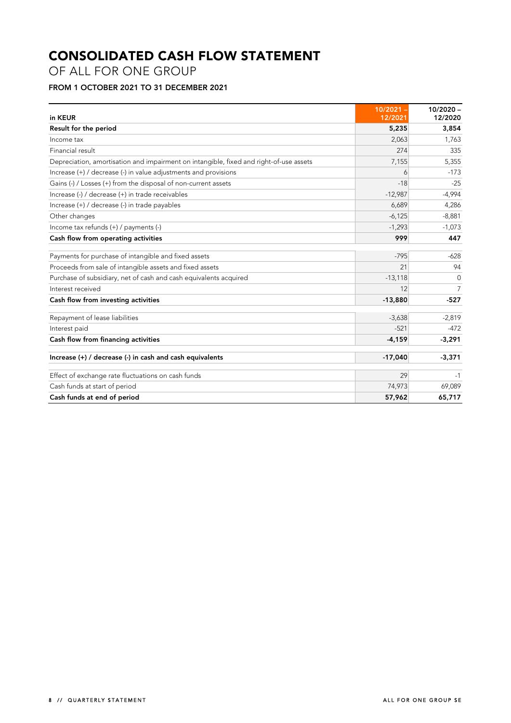# **CONSOLIDATED CASH FLOW STATEMENT**

OF ALL FOR ONE GROUP

# **FROM 1 OCTOBER 2021 TO 31 DECEMBER 2021**

| in KEUR                                                                                | 10/2021 -<br>12/2021 | $10/2020 -$<br>12/2020 |
|----------------------------------------------------------------------------------------|----------------------|------------------------|
| Result for the period                                                                  | 5,235                | 3,854                  |
| Income tax                                                                             | 2,063                | 1,763                  |
| Financial result                                                                       | 274                  | 335                    |
| Depreciation, amortisation and impairment on intangible, fixed and right-of-use assets | 7,155                | 5,355                  |
| Increase (+) / decrease (-) in value adjustments and provisions                        | 6                    | $-173$                 |
| Gains (-) / Losses (+) from the disposal of non-current assets                         | $-18$                | $-25$                  |
| Increase (-) / decrease (+) in trade receivables                                       | $-12,987$            | $-4,994$               |
| Increase (+) / decrease (-) in trade payables                                          | 6,689                | 4,286                  |
| Other changes                                                                          | $-6,125$             | $-8,881$               |
| Income tax refunds $(+)$ / payments $(-)$                                              | $-1,293$             | $-1,073$               |
| Cash flow from operating activities                                                    | 999                  | 447                    |
| Payments for purchase of intangible and fixed assets                                   | $-795$               | $-628$                 |
| Proceeds from sale of intangible assets and fixed assets                               | 21                   | 94                     |
| Purchase of subsidiary, net of cash and cash equivalents acquired                      | $-13,118$            | $\Omega$               |
| Interest received                                                                      | 12                   | 7                      |
| Cash flow from investing activities                                                    | $-13,880$            | $-527$                 |
| Repayment of lease liabilities                                                         | $-3,638$             | $-2,819$               |
| Interest paid                                                                          | $-521$               | $-472$                 |
| Cash flow from financing activities                                                    | $-4,159$             | $-3,291$               |
| Increase (+) / decrease (-) in cash and cash equivalents                               | $-17,040$            | $-3,371$               |
| Effect of exchange rate fluctuations on cash funds                                     | 29                   | -1                     |
| Cash funds at start of period                                                          | 74,973               | 69,089                 |
| Cash funds at end of period                                                            | 57,962               | 65,717                 |